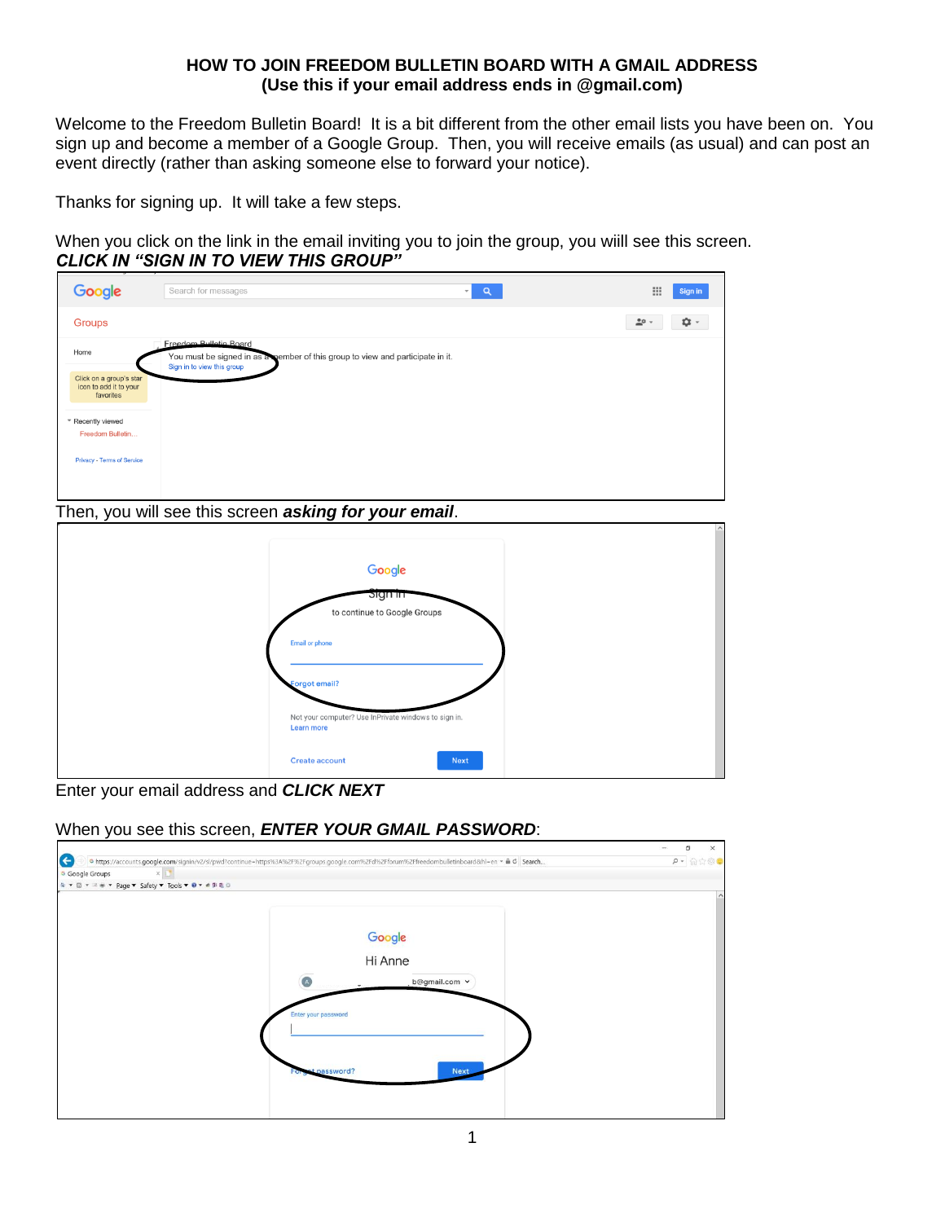### **HOW TO JOIN FREEDOM BULLETIN BOARD WITH A GMAIL ADDRESS (Use this if your email address ends in @gmail.com)**

Welcome to the Freedom Bulletin Board! It is a bit different from the other email lists you have been on. You sign up and become a member of a Google Group. Then, you will receive emails (as usual) and can post an event directly (rather than asking someone else to forward your notice).

Thanks for signing up. It will take a few steps.

When you click on the link in the email inviting you to join the group, you wiill see this screen. *CLICK IN "SIGN IN TO VIEW THIS GROUP"* 

| Google                                                         | Search for messages<br>$\alpha$<br>$\overline{ }$                                                                                      | 田<br><b>Sign in</b>  |
|----------------------------------------------------------------|----------------------------------------------------------------------------------------------------------------------------------------|----------------------|
| Groups                                                         |                                                                                                                                        | <b>0</b> -<br>$20 -$ |
| Home                                                           | Freedom Bulletin Board<br>You must be signed in as a member of this group to view and participate in it.<br>Sign in to view this group |                      |
| Click on a group's star<br>icon to add it to your<br>favorites |                                                                                                                                        |                      |
| * Recently viewed                                              |                                                                                                                                        |                      |
| Freedom Bulletin                                               |                                                                                                                                        |                      |
| Privacy - Terms of Service                                     |                                                                                                                                        |                      |

Then, you will see this screen *asking for your email*.



Enter your email address and *CLICK NEXT*

### When you see this screen, *ENTER YOUR GMAIL PASSWORD*:

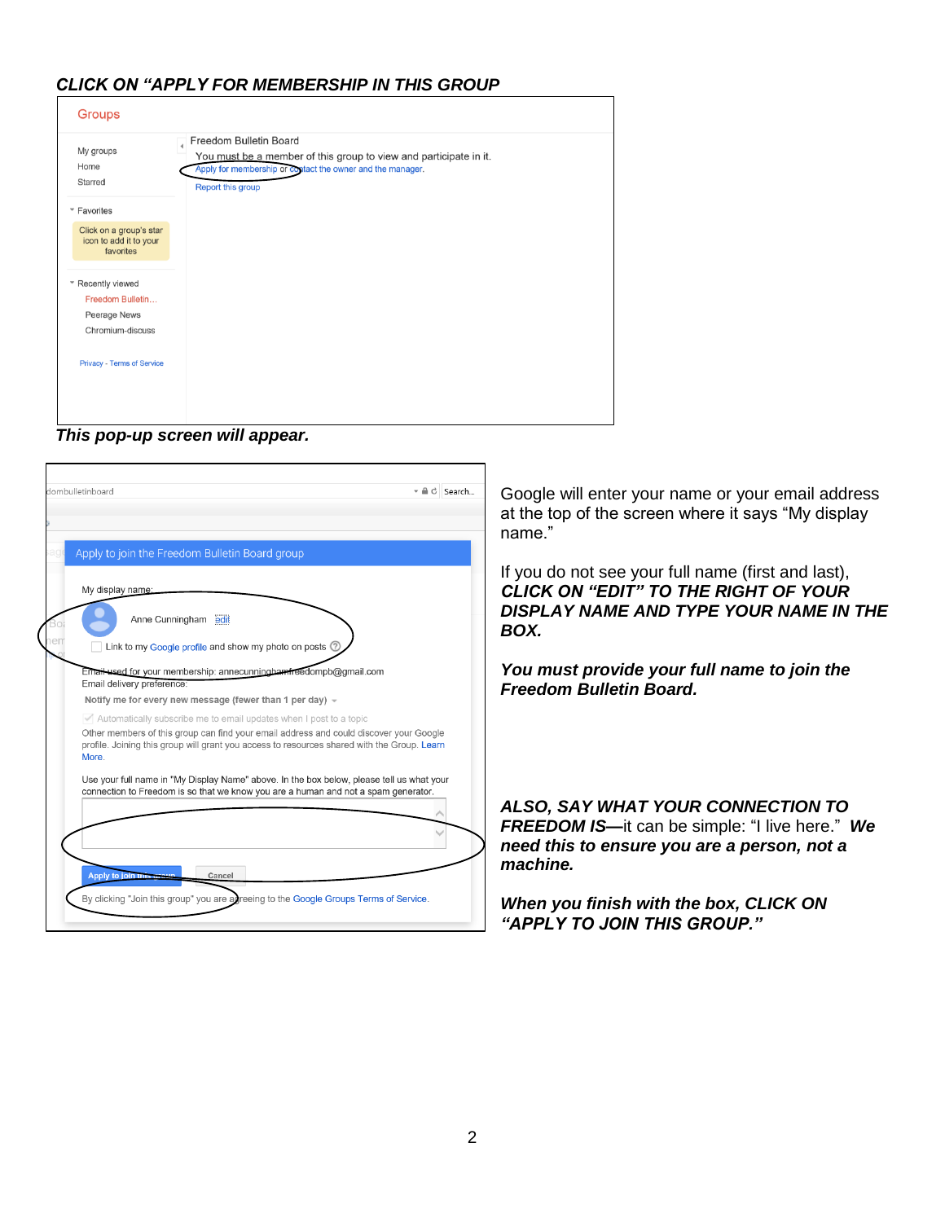# *CLICK ON "APPLY FOR MEMBERSHIP IN THIS GROUP*

| <b>Groups</b>                                                  |                                                                                                                                                                                |
|----------------------------------------------------------------|--------------------------------------------------------------------------------------------------------------------------------------------------------------------------------|
| My groups<br>Home<br>Starred                                   | Freedom Bulletin Board<br>You must be a member of this group to view and participate in it.<br>Apply for membership or costact the owner and the manager.<br>Report this group |
| ▼ Favorites                                                    |                                                                                                                                                                                |
| Click on a group's star<br>icon to add it to your<br>favorites |                                                                                                                                                                                |
| * Recently viewed                                              |                                                                                                                                                                                |
| Freedom Bulletin                                               |                                                                                                                                                                                |
| Peerage News                                                   |                                                                                                                                                                                |
| Chromium-discuss                                               |                                                                                                                                                                                |
| <b>Privacy - Terms of Service</b>                              |                                                                                                                                                                                |
|                                                                |                                                                                                                                                                                |

*This pop-up screen will appear.*

| dombulletinboard                                                                                                                                                                                                                                                                                       | $\mathbf{v} \triangleq \mathbf{C}$ Search<br>Google will enter your name or your email address<br>at the top of the screen where it says "My display<br>name."                                                                  |
|--------------------------------------------------------------------------------------------------------------------------------------------------------------------------------------------------------------------------------------------------------------------------------------------------------|---------------------------------------------------------------------------------------------------------------------------------------------------------------------------------------------------------------------------------|
| Apply to join the Freedom Bulletin Board group<br>My display name:<br>Anne Cunningham edit<br>Link to my Google profile and show my photo on posts 2                                                                                                                                                   | If you do not see your full name (first and last),<br><b>CLICK ON "EDIT" TO THE RIGHT OF YOUR</b><br>DISPLAY NAME AND TYPE YOUR NAME IN THE<br>BOX.                                                                             |
| Email used for your membership: annecunning hamineed ompb@gmail.com<br>Email delivery preference:<br>Notify me for every new message (fewer than 1 per day) $\sim$<br>Automatically subscribe me to email updates when I post to a topic                                                               | You must provide your full name to join the<br><b>Freedom Bulletin Board.</b>                                                                                                                                                   |
| Other members of this group can find your email address and could discover your Google<br>profile. Joining this group will grant you access to resources shared with the Group. Learn<br>More.                                                                                                         |                                                                                                                                                                                                                                 |
| Use your full name in "My Display Name" above. In the box below, please tell us what your<br>connection to Freedom is so that we know you are a human and not a spam generator.<br>Apply to join th<br>Cancel<br>By clicking "Join this group" you are agreeing to the Google Groups Terms of Service. | ALSO, SAY WHAT YOUR CONNECTION TO<br><b>FREEDOM IS</b> —it can be simple: "I live here." We<br>need this to ensure you are a person, not a<br>machine.<br>When you finish with the box, CLICK ON<br>"APPLY TO JOIN THIS GROUP." |